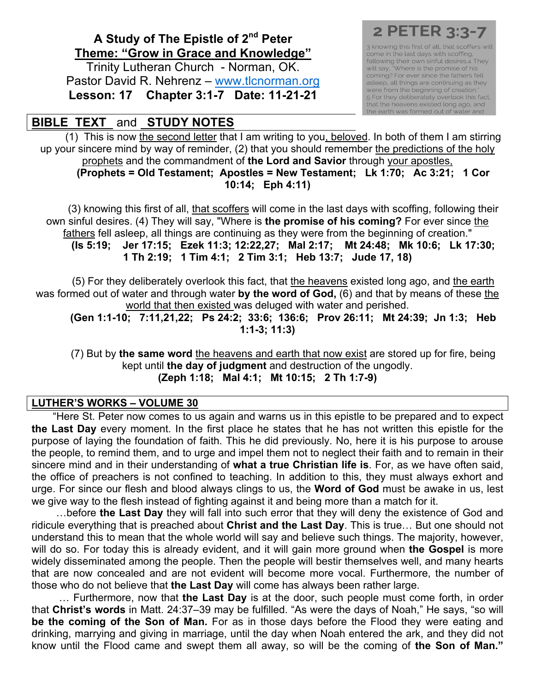## **A Study of The Epistle of 2nd Peter Theme: "Grow in Grace and Knowledge"**

Trinity Lutheran Church - Norman, OK. Pastor David R. Nehrenz – www.tlcnorman.org **Lesson: 17 Chapter 3:1-7 Date: 11-21-21**

## **BIBLE TEXT** and **STUDY NOTES**

3 knowing this first of all, that scoffers will come in the last days with scoffing. following their own sinful desires.4 They<br>will say, "Where is the promise of his<br>coming? For ever since the fathers fell asleep, all things are continuing as they were from the beginning of creation." 5 For they deliberately overlook this fact,<br>that the heavens existed long ago, and the earth was formed out of water and

(1) This is now the second letter that I am writing to you, beloved. In both of them I am stirring up your sincere mind by way of reminder, (2) that you should remember the predictions of the holy prophets and the commandment of **the Lord and Savior** through your apostles, **(Prophets = Old Testament; Apostles = New Testament; Lk 1:70; Ac 3:21; 1 Cor 10:14; Eph 4:11)**

(3) knowing this first of all, that scoffers will come in the last days with scoffing, following their own sinful desires. (4) They will say, "Where is **the promise of his coming?** For ever since the fathers fell asleep, all things are continuing as they were from the beginning of creation." **(Is 5:19; Jer 17:15; Ezek 11:3; 12:22,27; Mal 2:17; Mt 24:48; Mk 10:6; Lk 17:30; 1 Th 2:19; 1 Tim 4:1; 2 Tim 3:1; Heb 13:7; Jude 17, 18)**

(5) For they deliberately overlook this fact, that the heavens existed long ago, and the earth was formed out of water and through water **by the word of God,** (6) and that by means of these the world that then existed was deluged with water and perished.

**(Gen 1:1-10; 7:11,21,22; Ps 24:2; 33:6; 136:6; Prov 26:11; Mt 24:39; Jn 1:3; Heb 1:1-3; 11:3)**

(7) But by **the same word** the heavens and earth that now exist are stored up for fire, being kept until **the day of judgment** and destruction of the ungodly. **(Zeph 1:18; Mal 4:1; Mt 10:15; 2 Th 1:7-9)**

## **LUTHER'S WORKS – VOLUME 30**

"Here St. Peter now comes to us again and warns us in this epistle to be prepared and to expect **the Last Day** every moment. In the first place he states that he has not written this epistle for the purpose of laying the foundation of faith. This he did previously. No, here it is his purpose to arouse the people, to remind them, and to urge and impel them not to neglect their faith and to remain in their sincere mind and in their understanding of **what a true Christian life is**. For, as we have often said, the office of preachers is not confined to teaching. In addition to this, they must always exhort and urge. For since our flesh and blood always clings to us, the **Word of God** must be awake in us, lest we give way to the flesh instead of fighting against it and being more than a match for it.

 …before **the Last Day** they will fall into such error that they will deny the existence of God and ridicule everything that is preached about **Christ and the Last Day**. This is true… But one should not understand this to mean that the whole world will say and believe such things. The majority, however, will do so. For today this is already evident, and it will gain more ground when **the Gospel** is more widely disseminated among the people. Then the people will bestir themselves well, and many hearts that are now concealed and are not evident will become more vocal. Furthermore, the number of those who do not believe that **the Last Day** will come has always been rather large.

 … Furthermore, now that **the Last Day** is at the door, such people must come forth, in order that **Christ's words** in Matt. 24:37–39 may be fulfilled. "As were the days of Noah," He says, "so will **be the coming of the Son of Man.** For as in those days before the Flood they were eating and drinking, marrying and giving in marriage, until the day when Noah entered the ark, and they did not know until the Flood came and swept them all away, so will be the coming of **the Son of Man."**